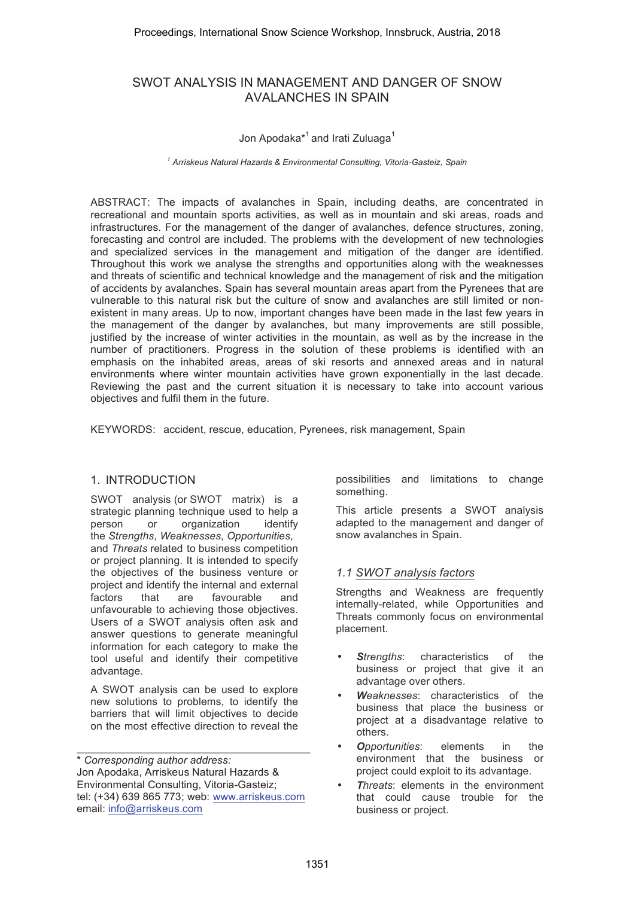# SWOT ANALYSIS IN MANAGEMENT AND DANGER OF SNOW AVALANCHES IN SPAIN

## Jon Apodaka<sup>\*1</sup> and Irati Zuluaga<sup>1</sup>

*1 Arriskeus Natural Hazards & Environmental Consulting, Vitoria-Gasteiz, Spain* 

ABSTRACT: The impacts of avalanches in Spain, including deaths, are concentrated in recreational and mountain sports activities, as well as in mountain and ski areas, roads and infrastructures. For the management of the danger of avalanches, defence structures, zoning, forecasting and control are included. The problems with the development of new technologies and specialized services in the management and mitigation of the danger are identified. Throughout this work we analyse the strengths and opportunities along with the weaknesses and threats of scientific and technical knowledge and the management of risk and the mitigation of accidents by avalanches. Spain has several mountain areas apart from the Pyrenees that are vulnerable to this natural risk but the culture of snow and avalanches are still limited or nonexistent in many areas. Up to now, important changes have been made in the last few years in the management of the danger by avalanches, but many improvements are still possible, justified by the increase of winter activities in the mountain, as well as by the increase in the number of practitioners. Progress in the solution of these problems is identified with an emphasis on the inhabited areas, areas of ski resorts and annexed areas and in natural environments where winter mountain activities have grown exponentially in the last decade. Reviewing the past and the current situation it is necessary to take into account various objectives and fulfil them in the future.

KEYWORDS: accident, rescue, education, Pyrenees, risk management, Spain

#### 1. INTRODUCTION

SWOT analysis (or SWOT matrix) is a strategic planning technique used to help a person or organization identify the *Strengths*, *Weaknesses*, *Opportunities*, and *Threats* related to business competition or project planning. It is intended to specify the objectives of the business venture or project and identify the internal and external factors that are favourable and unfavourable to achieving those objectives. Users of a SWOT analysis often ask and answer questions to generate meaningful information for each category to make the tool useful and identify their competitive advantage.

A SWOT analysis can be used to explore new solutions to problems, to identify the barriers that will limit objectives to decide on the most effective direction to reveal the

\* *Corresponding author address:* Jon Apodaka, Arriskeus Natural Hazards & Environmental Consulting, Vitoria-Gasteiz; tel: (+34) 639 865 773; web: www.arriskeus.com email: info@arriskeus.com

possibilities and limitations to change something.

This article presents a SWOT analysis adapted to the management and danger of snow avalanches in Spain.

#### *1.1 SWOT analysis factors*

Strengths and Weakness are frequently internally-related, while Opportunities and Threats commonly focus on environmental placement.

- *Strengths*: characteristics of the business or project that give it an advantage over others.
- *Weaknesses*: characteristics of the business that place the business or project at a disadvantage relative to others.
- *Opportunities*: elements in the environment that the business or project could exploit to its advantage.
- *Threats*: elements in the environment that could cause trouble for the business or project.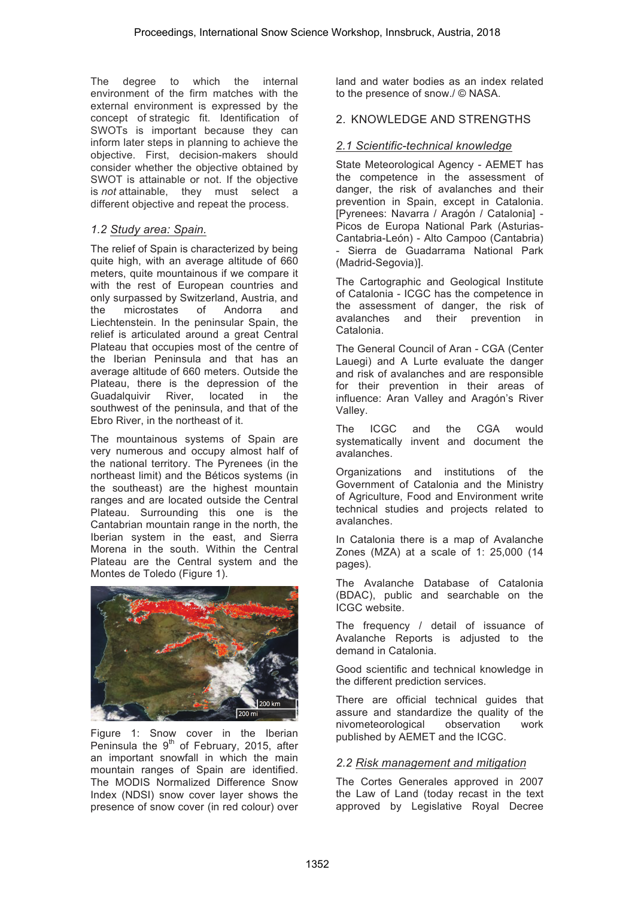The degree to which the internal environment of the firm matches with the external environment is expressed by the concept of strategic fit. Identification of SWOTs is important because they can inform later steps in planning to achieve the objective. First, decision-makers should consider whether the objective obtained by SWOT is attainable or not. If the objective is *not* attainable, they must select a different objective and repeat the process.

## *1.2 Study area: Spain.*

The relief of Spain is characterized by being quite high, with an average altitude of 660 meters, quite mountainous if we compare it with the rest of European countries and only surpassed by Switzerland, Austria, and the microstates of Andorra and Liechtenstein. In the peninsular Spain, the relief is articulated around a great Central Plateau that occupies most of the centre of the Iberian Peninsula and that has an average altitude of 660 meters. Outside the Plateau, there is the depression of the Guadalquivir River, located in the southwest of the peninsula, and that of the Ebro River, in the northeast of it.

The mountainous systems of Spain are very numerous and occupy almost half of the national territory. The Pyrenees (in the northeast limit) and the Béticos systems (in the southeast) are the highest mountain ranges and are located outside the Central Plateau. Surrounding this one is the Cantabrian mountain range in the north, the Iberian system in the east, and Sierra Morena in the south. Within the Central Plateau are the Central system and the Montes de Toledo (Figure 1).



Figure 1: Snow cover in the Iberian Peninsula the  $9<sup>th</sup>$  of February, 2015, after an important snowfall in which the main mountain ranges of Spain are identified. The MODIS Normalized Difference Snow Index (NDSI) snow cover layer shows the presence of snow cover (in red colour) over

land and water bodies as an index related to the presence of snow./ © NASA.

## 2. KNOWLEDGE AND STRENGTHS

## *2.1 Scientific-technical knowledge*

State Meteorological Agency - AEMET has the competence in the assessment of danger, the risk of avalanches and their prevention in Spain, except in Catalonia. [Pyrenees: Navarra / Aragón / Catalonia] - Picos de Europa National Park (Asturias-Cantabria-León) - Alto Campoo (Cantabria) - Sierra de Guadarrama National Park (Madrid-Segovia)].

The Cartographic and Geological Institute of Catalonia - ICGC has the competence in the assessment of danger, the risk of avalanches and their prevention in Catalonia.

The General Council of Aran - CGA (Center Lauegi) and A Lurte evaluate the danger and risk of avalanches and are responsible for their prevention in their areas of influence: Aran Valley and Aragón's River Valley.

The ICGC and the CGA would systematically invent and document the avalanches.

Organizations and institutions of the Government of Catalonia and the Ministry of Agriculture, Food and Environment write technical studies and projects related to avalanches.

In Catalonia there is a map of Avalanche Zones (MZA) at a scale of 1: 25,000 (14 pages).

The Avalanche Database of Catalonia (BDAC), public and searchable on the ICGC website.

The frequency / detail of issuance of Avalanche Reports is adjusted to the demand in Catalonia.

Good scientific and technical knowledge in the different prediction services.

There are official technical guides that assure and standardize the quality of the nivometeorological observation work published by AEMET and the ICGC.

## *2.2 Risk management and mitigation*

The Cortes Generales approved in 2007 the Law of Land (today recast in the text approved by Legislative Royal Decree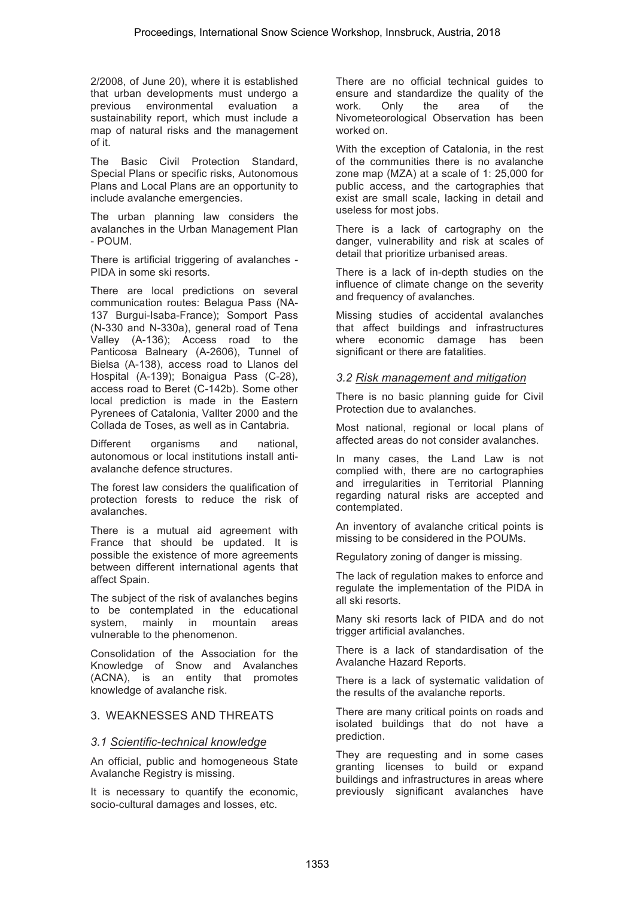2/2008, of June 20), where it is established that urban developments must undergo a previous environmental evaluation a sustainability report, which must include a map of natural risks and the management of it.

The Basic Civil Protection Standard, Special Plans or specific risks, Autonomous Plans and Local Plans are an opportunity to include avalanche emergencies.

The urban planning law considers the avalanches in the Urban Management Plan - POUM.

There is artificial triggering of avalanches - PIDA in some ski resorts.

There are local predictions on several communication routes: Belagua Pass (NA-137 Burgui-Isaba-France); Somport Pass (N-330 and N-330a), general road of Tena Valley (A-136); Access road to the Panticosa Balneary (A-2606), Tunnel of Bielsa (A-138), access road to Llanos del Hospital (A-139); Bonaigua Pass (C-28), access road to Beret (C-142b). Some other local prediction is made in the Eastern Pyrenees of Catalonia, Vallter 2000 and the Collada de Toses, as well as in Cantabria.

Different organisms and national, autonomous or local institutions install antiavalanche defence structures.

The forest law considers the qualification of protection forests to reduce the risk of avalanches.

There is a mutual aid agreement with France that should be updated. It is possible the existence of more agreements between different international agents that affect Spain.

The subject of the risk of avalanches begins to be contemplated in the educational system, mainly in mountain areas vulnerable to the phenomenon.

Consolidation of the Association for the Knowledge of Snow and Avalanches (ACNA), is an entity that promotes knowledge of avalanche risk.

### 3. WEAKNESSES AND THREATS

### *3.1 Scientific-technical knowledge*

An official, public and homogeneous State Avalanche Registry is missing.

It is necessary to quantify the economic, socio-cultural damages and losses, etc.

There are no official technical guides to ensure and standardize the quality of the work. Only the area of the Nivometeorological Observation has been worked on.

With the exception of Catalonia, in the rest of the communities there is no avalanche zone map (MZA) at a scale of 1: 25,000 for public access, and the cartographies that exist are small scale, lacking in detail and useless for most jobs.

There is a lack of cartography on the danger, vulnerability and risk at scales of detail that prioritize urbanised areas.

There is a lack of in-depth studies on the influence of climate change on the severity and frequency of avalanches.

Missing studies of accidental avalanches that affect buildings and infrastructures where economic damage has been significant or there are fatalities.

#### *3.2 Risk management and mitigation*

There is no basic planning guide for Civil Protection due to avalanches.

Most national, regional or local plans of affected areas do not consider avalanches.

In many cases, the Land Law is not complied with, there are no cartographies and irregularities in Territorial Planning regarding natural risks are accepted and contemplated.

An inventory of avalanche critical points is missing to be considered in the POUMs.

Regulatory zoning of danger is missing.

The lack of regulation makes to enforce and regulate the implementation of the PIDA in all ski resorts.

Many ski resorts lack of PIDA and do not trigger artificial avalanches.

There is a lack of standardisation of the Avalanche Hazard Reports.

There is a lack of systematic validation of the results of the avalanche reports.

There are many critical points on roads and isolated buildings that do not have a prediction.

They are requesting and in some cases granting licenses to build or expand buildings and infrastructures in areas where previously significant avalanches have